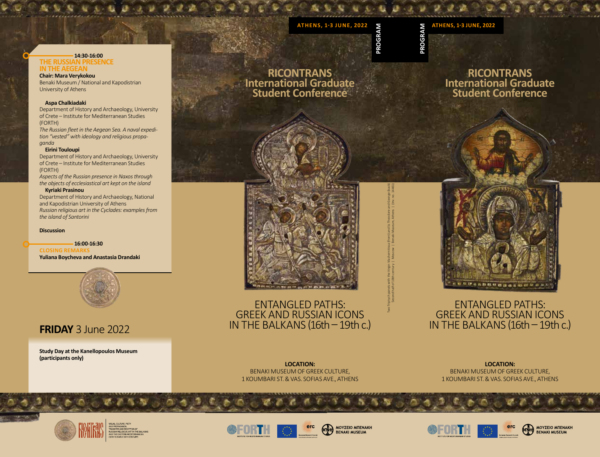# ATHENS, 1-3 JUNE, 2022<br> **ATHENS, 1-3 JUNE, 2022**<br>
<del>C</del><br>
C<sub>C</sub><br>
C<sub>C</sub><br>
C<sub>C</sub><br>
C<sub>C</sub><br>
CC

**PROGRAM**

**PROGRAM**

# **14:30-16:00 THE RUSSIAN PRESENCE IN THE AEGEAN**

**Chair: Mara Verykokou** Benaki Museum / National and Kapodistrian University of Athens

# **Aspa Chalkiadaki**

Department of History and Archaeology, University of Crete – Institute for Mediterranean Studies (FORTH)

*The Russian fleet in the Aegean Sea. A naval expedition "vested" with ideology and religious propaganda*

#### **Eirini Touloupi**

Department of History and Archaeology, University of Crete – Institute for Mediterranean Studies (FORTH)

*Aspects of the Russian presence in Naxos through the objects of ecclesiastical art kept on the island*

# **Kyriaki Prasinou**

Department of History and Archaeology, National and Kapodistrian University of Athens *Russian religious art in the Cyclades: examples from the island of Santorini*

**Discussion**

 **16:00-16:30 CLOSING REMARKS Yuliana Boycheva and Anastasia Drandaki**



# **FRIDAY** 3 June 2022

**Study Day at the Kanellopoulos Museum (participants only)**



**RICONTRANS International Graduate Student Conference**



Two Triptych panels with the Virgin Vlachernitissa (front) and Ss Theodore and George (back) Second half of 18th century | Moscow | Benaki Museum, Athens | (Inv. no. 14461)

ENTANGLED PATHS: GREEK AND RUSSIAN ICONS IN THE BALKANS (16th - 19th c.)



# ENTANGLED PATHS: GREEK AND RUSSIAN ICONS IN THE BALKANS (16th - 19th c.)

**LOCATION:** BENAKI MUSEUM OF GREEK CULTURE, 1 KOUMBARI ST. & VAS. SOFIAS AVE., ATHENS

**LOCATION:** BENAKI MUSEUM OF GREEK CULTURE, 1 KOUMBARI ST. & VAS. SOFIAS AVE., ATHENS











ΜΟΥΣΕΙΟ ΜΠΕΝΑΚΗ **BENAKI MUSEUM**